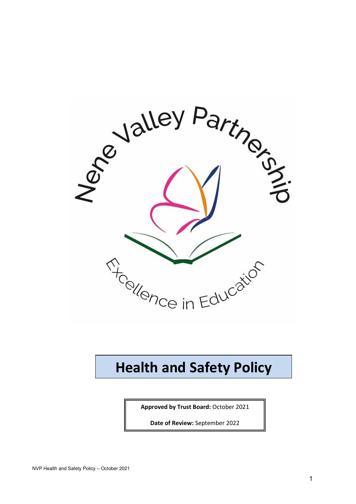

## **Health and Safety Policy**

**Approved by Trust Board:** October 2021

**Date of Review:** September 2022